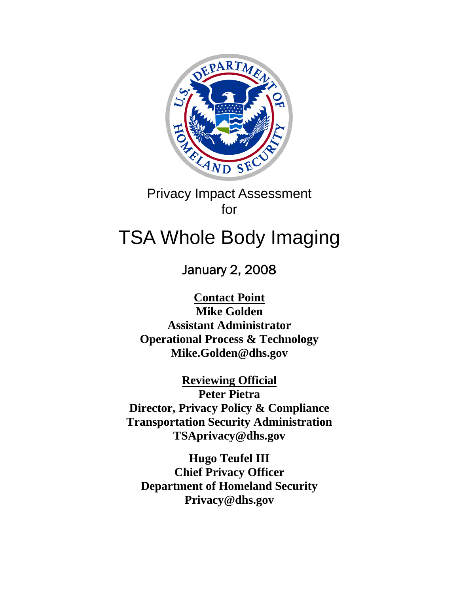

Privacy Impact Assessment for

# TSA Whole Body Imaging

January 2, 2008

**Contact Point Mike Golden Assistant Administrator Operational Process & Technology Mike.Golden@dhs.gov** 

**Reviewing Official Peter Pietra Director, Privacy Policy & Compliance Transportation Security Administration TSAprivacy@dhs.gov** 

**Hugo Teufel III Chief Privacy Officer Department of Homeland Security Privacy@dhs.gov**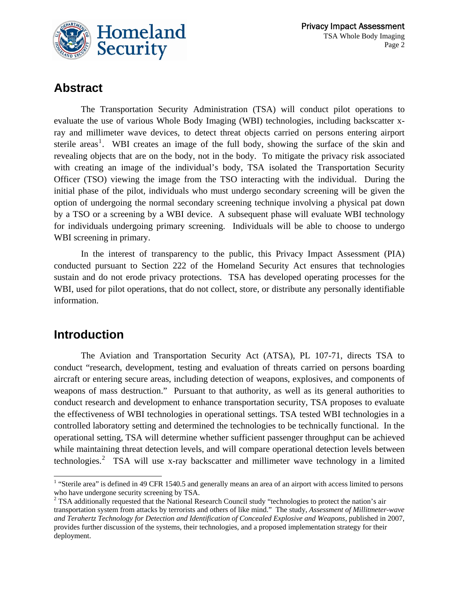

### **Abstract**

The Transportation Security Administration (TSA) will conduct pilot operations to evaluate the use of various Whole Body Imaging (WBI) technologies, including backscatter xray and millimeter wave devices, to detect threat objects carried on persons entering airport sterile areas<sup>[1](#page-1-0)</sup>. WBI creates an image of the full body, showing the surface of the skin and revealing objects that are on the body, not in the body. To mitigate the privacy risk associated with creating an image of the individual's body, TSA isolated the Transportation Security Officer (TSO) viewing the image from the TSO interacting with the individual. During the initial phase of the pilot, individuals who must undergo secondary screening will be given the option of undergoing the normal secondary screening technique involving a physical pat down by a TSO or a screening by a WBI device. A subsequent phase will evaluate WBI technology for individuals undergoing primary screening. Individuals will be able to choose to undergo WBI screening in primary.

In the interest of transparency to the public, this Privacy Impact Assessment (PIA) conducted pursuant to Section 222 of the Homeland Security Act ensures that technologies sustain and do not erode privacy protections. TSA has developed operating processes for the WBI, used for pilot operations, that do not collect, store, or distribute any personally identifiable information.

## **Introduction**

 $\overline{a}$ 

The Aviation and Transportation Security Act (ATSA), PL 107-71, directs TSA to conduct "research, development, testing and evaluation of threats carried on persons boarding aircraft or entering secure areas, including detection of weapons, explosives, and components of weapons of mass destruction." Pursuant to that authority, as well as its general authorities to conduct research and development to enhance transportation security, TSA proposes to evaluate the effectiveness of WBI technologies in operational settings. TSA tested WBI technologies in a controlled laboratory setting and determined the technologies to be technically functional. In the operational setting, TSA will determine whether sufficient passenger throughput can be achieved while maintaining threat detection levels, and will compare operational detection levels between technologies.<sup>[2](#page-1-1)</sup> TSA will use x-ray backscatter and millimeter wave technology in a limited

<span id="page-1-0"></span><sup>&</sup>lt;sup>1</sup> "Sterile area" is defined in 49 CFR 1540.5 and generally means an area of an airport with access limited to persons who have undergone security screening by TSA.

<span id="page-1-1"></span> $2$  TSA additionally requested that the National Research Council study "technologies to protect the nation's air transportation system from attacks by terrorists and others of like mind." The study, *Assessment of Millitmeter-wave and Terahertz Technology for Detection and Identification of Concealed Explosive and Weapons*, published in 2007, provides further discussion of the systems, their technologies, and a proposed implementation strategy for their deployment.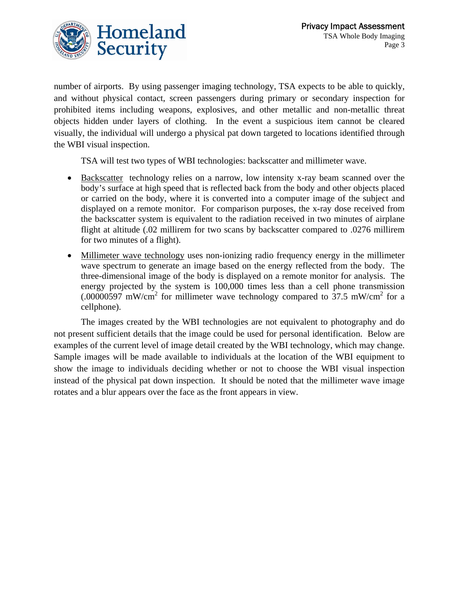

number of airports. By using passenger imaging technology, TSA expects to be able to quickly, and without physical contact, screen passengers during primary or secondary inspection for prohibited items including weapons, explosives, and other metallic and non-metallic threat objects hidden under layers of clothing. In the event a suspicious item cannot be cleared visually, the individual will undergo a physical pat down targeted to locations identified through the WBI visual inspection.

TSA will test two types of WBI technologies: backscatter and millimeter wave.

- Backscatter technology relies on a narrow, low intensity x-ray beam scanned over the body's surface at high speed that is reflected back from the body and other objects placed or carried on the body, where it is converted into a computer image of the subject and displayed on a remote monitor. For comparison purposes, the x-ray dose received from the backscatter system is equivalent to the radiation received in two minutes of airplane flight at altitude (.02 millirem for two scans by backscatter compared to .0276 millirem for two minutes of a flight).
- Millimeter wave technology uses non-ionizing radio frequency energy in the millimeter wave spectrum to generate an image based on the energy reflected from the body. The three-dimensional image of the body is displayed on a remote monitor for analysis. The energy projected by the system is 100,000 times less than a cell phone transmission  $(.00000597 \text{ mW/cm}^2$  for millimeter wave technology compared to 37.5 mW/cm<sup>2</sup> for a cellphone).

The images created by the WBI technologies are not equivalent to photography and do not present sufficient details that the image could be used for personal identification. Below are examples of the current level of image detail created by the WBI technology, which may change. Sample images will be made available to individuals at the location of the WBI equipment to show the image to individuals deciding whether or not to choose the WBI visual inspection instead of the physical pat down inspection. It should be noted that the millimeter wave image rotates and a blur appears over the face as the front appears in view.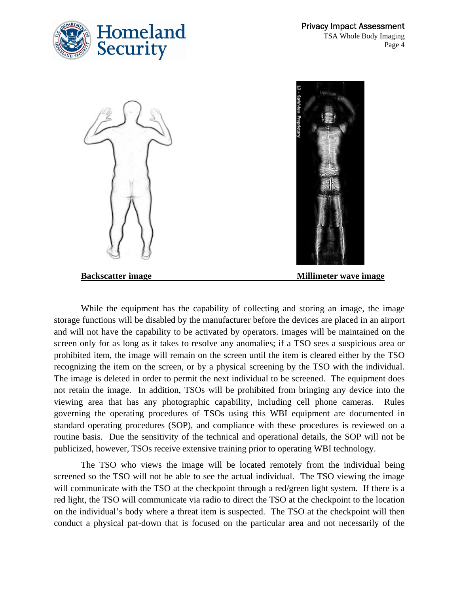





While the equipment has the capability of collecting and storing an image, the image storage functions will be disabled by the manufacturer before the devices are placed in an airport and will not have the capability to be activated by operators. Images will be maintained on the screen only for as long as it takes to resolve any anomalies; if a TSO sees a suspicious area or prohibited item, the image will remain on the screen until the item is cleared either by the TSO recognizing the item on the screen, or by a physical screening by the TSO with the individual. The image is deleted in order to permit the next individual to be screened. The equipment does not retain the image. In addition, TSOs will be prohibited from bringing any device into the viewing area that has any photographic capability, including cell phone cameras. Rules governing the operating procedures of TSOs using this WBI equipment are documented in standard operating procedures (SOP), and compliance with these procedures is reviewed on a routine basis. Due the sensitivity of the technical and operational details, the SOP will not be publicized, however, TSOs receive extensive training prior to operating WBI technology.

The TSO who views the image will be located remotely from the individual being screened so the TSO will not be able to see the actual individual. The TSO viewing the image will communicate with the TSO at the checkpoint through a red/green light system. If there is a red light, the TSO will communicate via radio to direct the TSO at the checkpoint to the location on the individual's body where a threat item is suspected. The TSO at the checkpoint will then conduct a physical pat-down that is focused on the particular area and not necessarily of the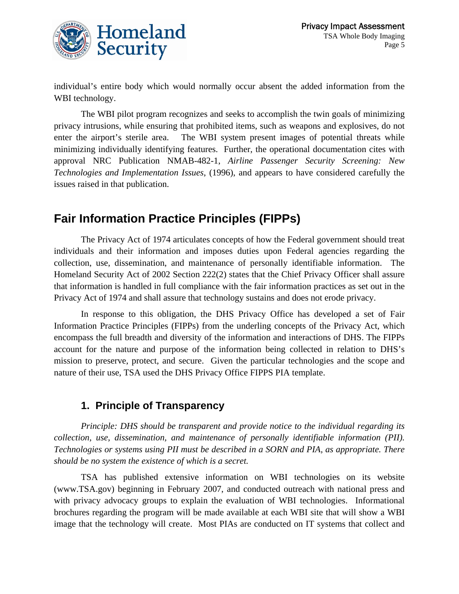

individual's entire body which would normally occur absent the added information from the WBI technology.

The WBI pilot program recognizes and seeks to accomplish the twin goals of minimizing privacy intrusions, while ensuring that prohibited items, such as weapons and explosives, do not enter the airport's sterile area. The WBI system present images of potential threats while minimizing individually identifying features. Further, the operational documentation cites with approval NRC Publication NMAB-482-1, *Airline Passenger Security Screening: New Technologies and Implementation Issues*, (1996), and appears to have considered carefully the issues raised in that publication.

## **Fair Information Practice Principles (FIPPs)**

The Privacy Act of 1974 articulates concepts of how the Federal government should treat individuals and their information and imposes duties upon Federal agencies regarding the collection, use, dissemination, and maintenance of personally identifiable information. The Homeland Security Act of 2002 Section 222(2) states that the Chief Privacy Officer shall assure that information is handled in full compliance with the fair information practices as set out in the Privacy Act of 1974 and shall assure that technology sustains and does not erode privacy.

In response to this obligation, the DHS Privacy Office has developed a set of Fair Information Practice Principles (FIPPs) from the underling concepts of the Privacy Act, which encompass the full breadth and diversity of the information and interactions of DHS. The FIPPs account for the nature and purpose of the information being collected in relation to DHS's mission to preserve, protect, and secure. Given the particular technologies and the scope and nature of their use, TSA used the DHS Privacy Office FIPPS PIA template.

#### **1. Principle of Transparency**

*Principle: DHS should be transparent and provide notice to the individual regarding its collection, use, dissemination, and maintenance of personally identifiable information (PII). Technologies or systems using PII must be described in a SORN and PIA, as appropriate. There should be no system the existence of which is a secret.* 

TSA has published extensive information on WBI technologies on its website (www.TSA.gov) beginning in February 2007, and conducted outreach with national press and with privacy advocacy groups to explain the evaluation of WBI technologies. Informational brochures regarding the program will be made available at each WBI site that will show a WBI image that the technology will create. Most PIAs are conducted on IT systems that collect and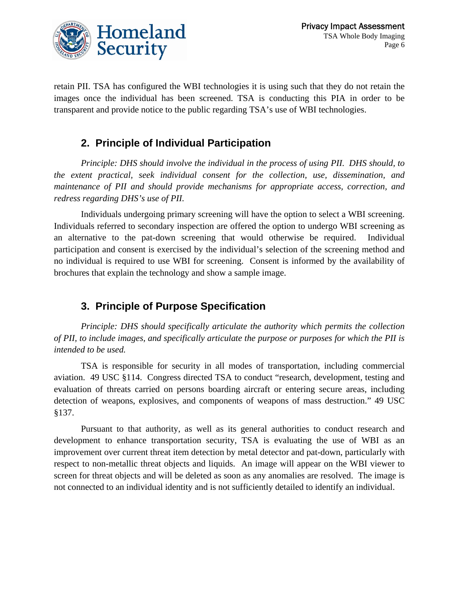

retain PII. TSA has configured the WBI technologies it is using such that they do not retain the images once the individual has been screened. TSA is conducting this PIA in order to be transparent and provide notice to the public regarding TSA's use of WBI technologies.

#### **2. Principle of Individual Participation**

*Principle: DHS should involve the individual in the process of using PII. DHS should, to the extent practical, seek individual consent for the collection, use, dissemination, and maintenance of PII and should provide mechanisms for appropriate access, correction, and redress regarding DHS's use of PII.* 

Individuals undergoing primary screening will have the option to select a WBI screening. Individuals referred to secondary inspection are offered the option to undergo WBI screening as an alternative to the pat-down screening that would otherwise be required. Individual participation and consent is exercised by the individual's selection of the screening method and no individual is required to use WBI for screening. Consent is informed by the availability of brochures that explain the technology and show a sample image.

#### **3. Principle of Purpose Specification**

*Principle: DHS should specifically articulate the authority which permits the collection of PII, to include images, and specifically articulate the purpose or purposes for which the PII is intended to be used.*

TSA is responsible for security in all modes of transportation, including commercial aviation. 49 USC §114. Congress directed TSA to conduct "research, development, testing and evaluation of threats carried on persons boarding aircraft or entering secure areas, including detection of weapons, explosives, and components of weapons of mass destruction." 49 USC §137.

Pursuant to that authority, as well as its general authorities to conduct research and development to enhance transportation security, TSA is evaluating the use of WBI as an improvement over current threat item detection by metal detector and pat-down, particularly with respect to non-metallic threat objects and liquids. An image will appear on the WBI viewer to screen for threat objects and will be deleted as soon as any anomalies are resolved. The image is not connected to an individual identity and is not sufficiently detailed to identify an individual.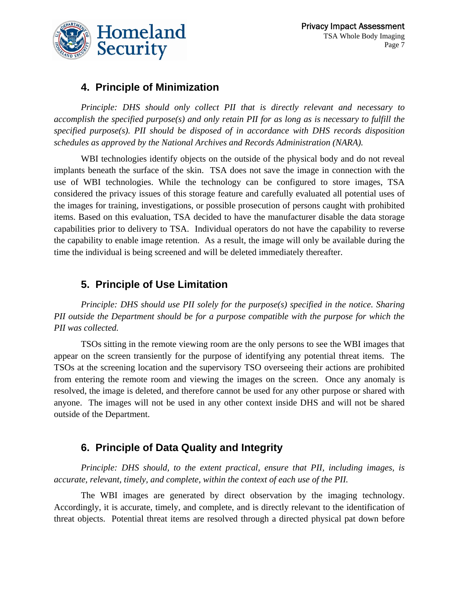

#### **4. Principle of Minimization**

*Principle: DHS should only collect PII that is directly relevant and necessary to accomplish the specified purpose(s) and only retain PII for as long as is necessary to fulfill the specified purpose(s). PII should be disposed of in accordance with DHS records disposition schedules as approved by the National Archives and Records Administration (NARA).*

WBI technologies identify objects on the outside of the physical body and do not reveal implants beneath the surface of the skin. TSA does not save the image in connection with the use of WBI technologies. While the technology can be configured to store images, TSA considered the privacy issues of this storage feature and carefully evaluated all potential uses of the images for training, investigations, or possible prosecution of persons caught with prohibited items. Based on this evaluation, TSA decided to have the manufacturer disable the data storage capabilities prior to delivery to TSA. Individual operators do not have the capability to reverse the capability to enable image retention. As a result, the image will only be available during the time the individual is being screened and will be deleted immediately thereafter.

#### **5. Principle of Use Limitation**

*Principle: DHS should use PII solely for the purpose(s) specified in the notice. Sharing PII outside the Department should be for a purpose compatible with the purpose for which the PII was collected.* 

TSOs sitting in the remote viewing room are the only persons to see the WBI images that appear on the screen transiently for the purpose of identifying any potential threat items. The TSOs at the screening location and the supervisory TSO overseeing their actions are prohibited from entering the remote room and viewing the images on the screen. Once any anomaly is resolved, the image is deleted, and therefore cannot be used for any other purpose or shared with anyone. The images will not be used in any other context inside DHS and will not be shared outside of the Department.

#### **6. Principle of Data Quality and Integrity**

*Principle: DHS should, to the extent practical, ensure that PII, including images, is accurate, relevant, timely, and complete, within the context of each use of the PII.* 

The WBI images are generated by direct observation by the imaging technology. Accordingly, it is accurate, timely, and complete, and is directly relevant to the identification of threat objects. Potential threat items are resolved through a directed physical pat down before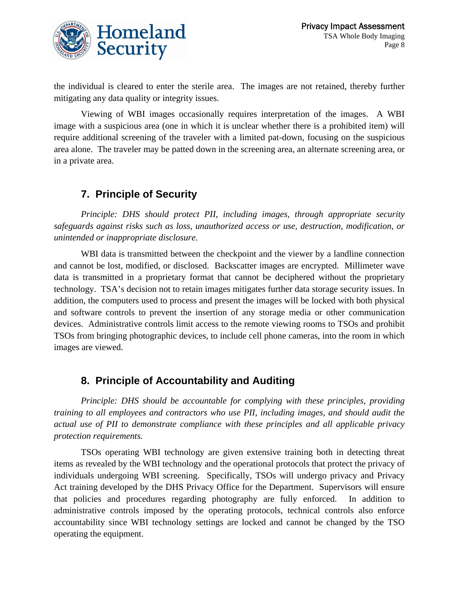

the individual is cleared to enter the sterile area. The images are not retained, thereby further mitigating any data quality or integrity issues.

Viewing of WBI images occasionally requires interpretation of the images. A WBI image with a suspicious area (one in which it is unclear whether there is a prohibited item) will require additional screening of the traveler with a limited pat-down, focusing on the suspicious area alone. The traveler may be patted down in the screening area, an alternate screening area, or in a private area.

#### **7. Principle of Security**

*Principle: DHS should protect PII, including images, through appropriate security safeguards against risks such as loss, unauthorized access or use, destruction, modification, or unintended or inappropriate disclosure.* 

WBI data is transmitted between the checkpoint and the viewer by a landline connection and cannot be lost, modified, or disclosed. Backscatter images are encrypted. Millimeter wave data is transmitted in a proprietary format that cannot be deciphered without the proprietary technology. TSA's decision not to retain images mitigates further data storage security issues. In addition, the computers used to process and present the images will be locked with both physical and software controls to prevent the insertion of any storage media or other communication devices. Administrative controls limit access to the remote viewing rooms to TSOs and prohibit TSOs from bringing photographic devices, to include cell phone cameras, into the room in which images are viewed.

#### **8. Principle of Accountability and Auditing**

*Principle: DHS should be accountable for complying with these principles, providing training to all employees and contractors who use PII, including images, and should audit the actual use of PII to demonstrate compliance with these principles and all applicable privacy protection requirements.*

TSOs operating WBI technology are given extensive training both in detecting threat items as revealed by the WBI technology and the operational protocols that protect the privacy of individuals undergoing WBI screening. Specifically, TSOs will undergo privacy and Privacy Act training developed by the DHS Privacy Office for the Department. Supervisors will ensure that policies and procedures regarding photography are fully enforced. In addition to administrative controls imposed by the operating protocols, technical controls also enforce accountability since WBI technology settings are locked and cannot be changed by the TSO operating the equipment.